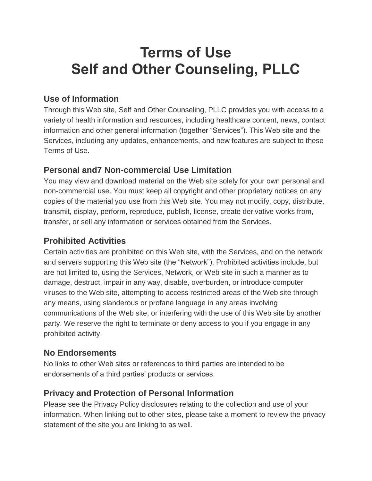# **Terms of Use Self and Other Counseling, PLLC**

## **Use of Information**

Through this Web site, Self and Other Counseling, PLLC provides you with access to a variety of health information and resources, including healthcare content, news, contact information and other general information (together "Services"). This Web site and the Services, including any updates, enhancements, and new features are subject to these Terms of Use.

## **Personal and7 Non-commercial Use Limitation**

You may view and download material on the Web site solely for your own personal and non-commercial use. You must keep all copyright and other proprietary notices on any copies of the material you use from this Web site. You may not modify, copy, distribute, transmit, display, perform, reproduce, publish, license, create derivative works from, transfer, or sell any information or services obtained from the Services.

## **Prohibited Activities**

Certain activities are prohibited on this Web site, with the Services, and on the network and servers supporting this Web site (the "Network"). Prohibited activities include, but are not limited to, using the Services, Network, or Web site in such a manner as to damage, destruct, impair in any way, disable, overburden, or introduce computer viruses to the Web site, attempting to access restricted areas of the Web site through any means, using slanderous or profane language in any areas involving communications of the Web site, or interfering with the use of this Web site by another party. We reserve the right to terminate or deny access to you if you engage in any prohibited activity.

## **No Endorsements**

No links to other Web sites or references to third parties are intended to be endorsements of a third parties' products or services.

## **Privacy and Protection of Personal Information**

Please see the Privacy Policy disclosures relating to the collection and use of your information. When linking out to other sites, please take a moment to review the privacy statement of the site you are linking to as well.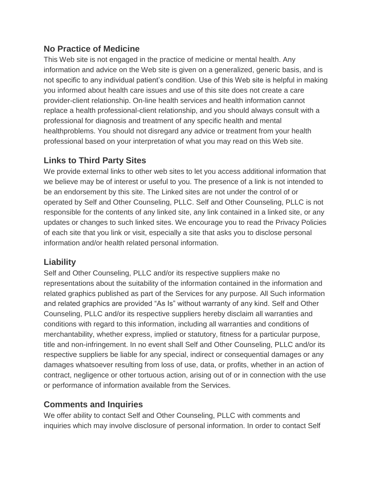### **No Practice of Medicine**

This Web site is not engaged in the practice of medicine or mental health. Any information and advice on the Web site is given on a generalized, generic basis, and is not specific to any individual patient's condition. Use of this Web site is helpful in making you informed about health care issues and use of this site does not create a care provider-client relationship. On-line health services and health information cannot replace a health professional-client relationship, and you should always consult with a professional for diagnosis and treatment of any specific health and mental healthproblems. You should not disregard any advice or treatment from your health professional based on your interpretation of what you may read on this Web site.

### **Links to Third Party Sites**

We provide external links to other web sites to let you access additional information that we believe may be of interest or useful to you. The presence of a link is not intended to be an endorsement by this site. The Linked sites are not under the control of or operated by Self and Other Counseling, PLLC. Self and Other Counseling, PLLC is not responsible for the contents of any linked site, any link contained in a linked site, or any updates or changes to such linked sites. We encourage you to read the Privacy Policies of each site that you link or visit, especially a site that asks you to disclose personal information and/or health related personal information.

## **Liability**

Self and Other Counseling, PLLC and/or its respective suppliers make no representations about the suitability of the information contained in the information and related graphics published as part of the Services for any purpose. All Such information and related graphics are provided "As Is" without warranty of any kind. Self and Other Counseling, PLLC and/or its respective suppliers hereby disclaim all warranties and conditions with regard to this information, including all warranties and conditions of merchantability, whether express, implied or statutory, fitness for a particular purpose, title and non-infringement. In no event shall Self and Other Counseling, PLLC and/or its respective suppliers be liable for any special, indirect or consequential damages or any damages whatsoever resulting from loss of use, data, or profits, whether in an action of contract, negligence or other tortuous action, arising out of or in connection with the use or performance of information available from the Services.

## **Comments and Inquiries**

We offer ability to contact Self and Other Counseling, PLLC with comments and inquiries which may involve disclosure of personal information. In order to contact Self